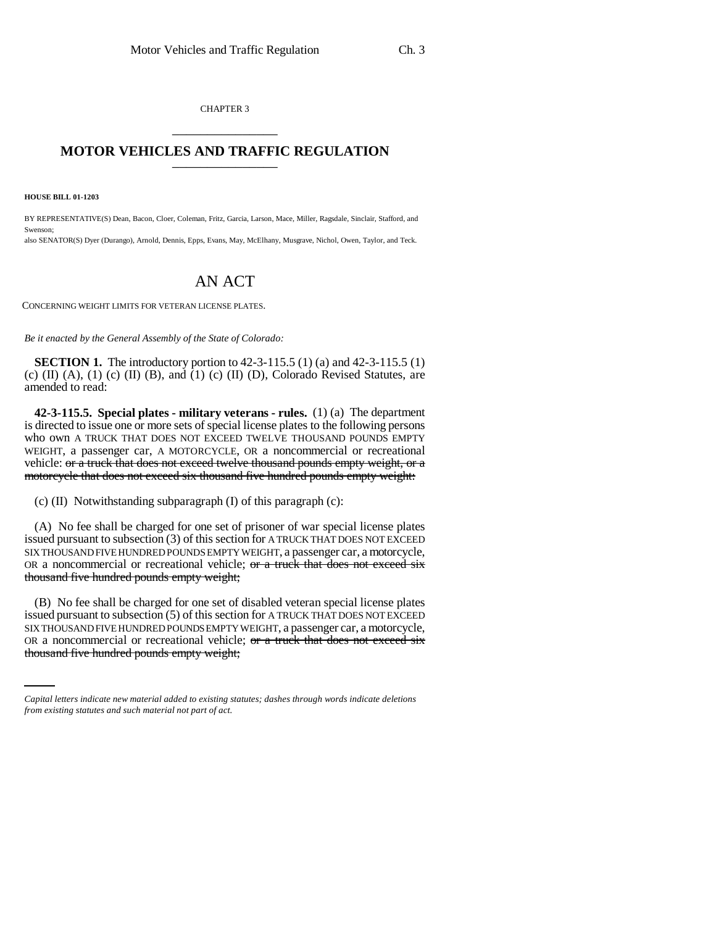CHAPTER 3 \_\_\_\_\_\_\_\_\_\_\_\_\_\_\_

## **MOTOR VEHICLES AND TRAFFIC REGULATION** \_\_\_\_\_\_\_\_\_\_\_\_\_\_\_

**HOUSE BILL 01-1203**

BY REPRESENTATIVE(S) Dean, Bacon, Cloer, Coleman, Fritz, Garcia, Larson, Mace, Miller, Ragsdale, Sinclair, Stafford, and Swenson; also SENATOR(S) Dyer (Durango), Arnold, Dennis, Epps, Evans, May, McElhany, Musgrave, Nichol, Owen, Taylor, and Teck.

## AN ACT

CONCERNING WEIGHT LIMITS FOR VETERAN LICENSE PLATES.

*Be it enacted by the General Assembly of the State of Colorado:*

**SECTION 1.** The introductory portion to 42-3-115.5 (1) (a) and 42-3-115.5 (1) (c)  $(II)$   $(A)$ ,  $(1)$   $(c)$   $(II)$   $(B)$ , and  $(1)$   $(c)$   $(II)$   $(D)$ , Colorado Revised Statutes, are amended to read:

**42-3-115.5. Special plates - military veterans - rules.** (1) (a) The department is directed to issue one or more sets of special license plates to the following persons who own A TRUCK THAT DOES NOT EXCEED TWELVE THOUSAND POUNDS EMPTY WEIGHT, a passenger car, A MOTORCYCLE, OR a noncommercial or recreational vehicle: or a truck that does not exceed twelve thousand pounds empty weight, or a motorcycle that does not exceed six thousand five hundred pounds empty weight:

(c) (II) Notwithstanding subparagraph (I) of this paragraph (c):

(A) No fee shall be charged for one set of prisoner of war special license plates issued pursuant to subsection (3) of this section for A TRUCK THAT DOES NOT EXCEED SIX THOUSAND FIVE HUNDRED POUNDS EMPTY WEIGHT, a passenger car, a motorcycle, OR a noncommercial or recreational vehicle; or a truck that does not exceed six thousand five hundred pounds empty weight;

SIX THOUSAND FIVE HUNDRED POUNDS EMPTY WEIGHT, a passenger car, a motorcycle, (B) No fee shall be charged for one set of disabled veteran special license plates issued pursuant to subsection (5) of this section for A TRUCK THAT DOES NOT EXCEED OR a noncommercial or recreational vehicle;  $or$  a truck that does not exceed six thousand five hundred pounds empty weight;

*Capital letters indicate new material added to existing statutes; dashes through words indicate deletions from existing statutes and such material not part of act.*